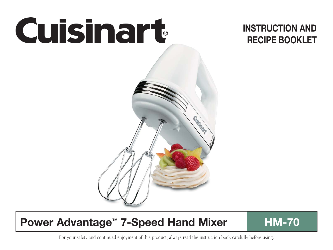

# **INSTRUCTION AND RECIPE BOOKLET**

# **Power Advantage™ 7-Speed Hand Mixer ■ HM-70**

For your safety and continued enjoyment of this product, always read the instruction book carefully before using.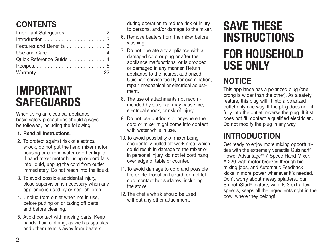# **CONTENTS**

| Important Safeguards. 2  |  |
|--------------------------|--|
|                          |  |
| Features and Benefits  3 |  |
|                          |  |
| Quick Reference Guide 4  |  |
|                          |  |
| Warranty 22              |  |

# **IMPORTANT SAFEGUARDS**

When using an electrical appliance, basic safety precautions should always be followed, including the following:

#### **1. Read all instructions.**

- 2. To protect against risk of electrical shock, do not put the hand mixer motor housing or cord in water or other liquid. If hand mixer motor housing or cord falls into liquid, unplug the cord from outlet immediately. Do not reach into the liquid.
- 3. To avoid possible accidental injury, close supervision is necessary when any appliance is used by or near children.
- 4. Unplug from outlet when not in use. before putting on or taking off parts, and before cleaning.
- 5. Avoid contact with moving parts. Keep hands, hair, clothing, as well as spatulas and other utensils away from beaters

during operation to reduce risk of injury to persons, and/or damage to the mixer.

- 6. Remove beaters from the mixer before washing.
- 7. Do not operate any appliance with a damaged cord or plug or after the appliance malfunctions, or is dropped or damaged in any manner. Return appliance to the nearest authorized Cuisinart service facility for examination, repair, mechanical or electrical adjustment.
- 8. The use of attachments not recommended by Cuisinart may cause fire, electrical shock, or risk of injury.
- 9. Do not use outdoors or anywhere the cord or mixer might come into contact with water while in use.
- 10. To avoid possibility of mixer being accidentally pulled off work area, which could result in damage to the mixer or in personal injury, do not let cord hang over edge of table or counter.
- 11. To avoid damage to cord and possible fire or electrocution hazard, do not let cord contact hot surfaces, including the stove.
- 12. The chef's whisk should be used without any other attachment.

# **SAVE THESE INSTRUCTIONS FOR HOUSEHOLD USE ONLY**

# **NOTICE**

This appliance has a polarized plug (one prong is wider than the other). As a safety feature, this plug will fit into a polarized outlet only one way. If the plug does not fit fully into the outlet, reverse the plug. If it still does not fit, contact a qualified electrician. Do not modify the plug in any way.

# **INTRODUCTION**

Get ready to enjoy more mixing opportunities with the extremely versatile Cuisinart® Power Advantage™ 7-Speed Hand Mixer. A 220-watt motor breezes through big mixing jobs, and Automatic Feedback kicks in more power whenever it's needed. Don't worry about messy splatters...our SmoothStart® feature, with its 3 extra-low speeds, keeps all the ingredients right in the bowl where they belong!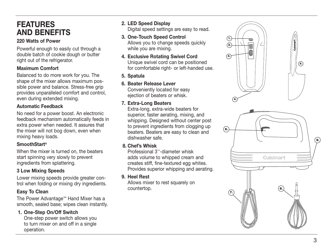## **FEATURES AND BENEFITS**

## **220 Watts of Power**

Powerful enough to easily cut through a double batch of cookie dough or butter right out of the refrigerator.

## **Maximum Comfort**

Balanced to do more work for you. The shape of the mixer allows maximum possible power and balance. Stress-free grip provides unparalleled comfort and control, even during extended mixing.

## **Automatic Feedback**

No need for a power boost. An electronic feedback mechanism automatically feeds in extra power when needed. It assures that the mixer will not bog down, even when mixing heavy loads.

## **SmoothStart ®**

When the mixer is turned on, the beaters start spinning very slowly to prevent ingredients from splattering.

## **3 Low Mixing Speeds**

Lower mixing speeds provide greater control when folding or mixing dry ingredients.

## **Easy To Clean**

The Power Advantage ™ Hand Mixer has a smooth, sealed base; wipes clean instantly.

## **1. One-Step On/Off Switch**

One-step power switch allows you to turn mixer on and off in a single operation.

 **2. LED Speed Display**

Digital speed settings are easy to read.

- **3. One-Touch Speed Control** Allows you to change speeds quickly while you are mixing.
- **4. Exclusive Rotating Swivel Cord** Unique swivel cord can be positioned for comfortable right- or left-handed use.
- **5. Spatula**
- **6. Beater Release Lever** Conveniently located for easy

ejection of beaters or whisk.

## **7. Extra-Long Beaters**

Extra-long, extra-wide beaters for superior, faster aerating, mixing, and whipping. Designed without center post to prevent ingredients from clogging up beaters. Beaters are easy to clean and dishwasher safe.

## **8. Chef's Whisk**

Professional 3''-diameter whisk adds volume to whipped cream and creates stiff, fine-textured egg whites. Provides superior whipping and aerating.

 **9. Heel Rest**

Allows mixer to rest squarely on countertop.



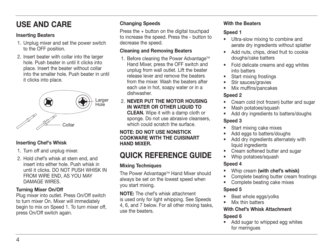# **USE AND CARE**

## **Inserting Beaters**

- 1. Unplug mixer and set the power switch to the OFF position.
- 2. Insert beater with collar into the larger hole. Push beater in until it clicks into place. Insert the beater without collar into the smaller hole. Push beater in until it clicks into place.



## **Inserting Chef's Whisk**

- 1. Turn off and unplug mixer.
- 2. Hold chef's whisk at stem end, and insert into either hole. Push whisk in until it clicks. DO NOT PUSH WHISK IN FROM WIRE END, AS YOU MAY DAMAGE WIRES.

## **Turning Mixer On/Off**

Plug mixer into outlet. Press On/Off switch to turn mixer On. Mixer will immediately begin to mix on Speed 1. To turn mixer off, press On/Off switch again.

## **Changing Speeds**

Press the + button on the digital touchpad to increase the speed. Press the - button to decrease the speed.

## **Cleaning and Removing Beaters**

- 1. Before cleaning the Power Advantage<sup>™</sup> Hand Mixer, press the OFF switch and unplug from wall outlet. Lift the beater release lever and remove the beaters from the mixer. Wash the beaters after each use in hot, soapy water or in a dishwasher.
- 2. **NEVER PUT THE MOTOR HOUSING IN WATER OR OTHER LIQUID TO CLEAN.** Wipe it with a damp cloth or sponge. Do not use abrasive cleansers, which could scratch the surface

#### **NOTE: DO NOT USE NONSTICK COOKWARE WITH THE CUISINART HAND MIXER.**

# **QUICK REFERENCE GUIDE**

## **Mixing Techniques**

The Power Advantage™ Hand Mixer should always be set on the lowest speed when you start mixing.

**NOTE:** The chef's whisk attachment is used only for light whipping. See Speeds 4, 6, and 7 below. For all other mixing tasks, use the beaters.

## **With the Beaters**

## **Speed 1**

- Ultra-slow mixing to combine and aerate dry ingredients without splatter
- Add nuts, chips, dried fruit to cookie doughs/cake batters
- Fold delicate creams and egg whites into batters
- Start mixing frostings
- Stir sauces/gravies
- Mix muffins/pancakes

## **Speed 2**

- Cream cold (not frozen) butter and sugar
- Mash potatoes/squash
- Add dry ingredients to batters/doughs

## **Speed 3**

- Start mixing cake mixes
- Add eggs to batters/doughs
- Add dry ingredients alternately with liquid ingredients
- Cream softened butter and sugar
- Whip potatoes/squash

## **Speed 4**

- Whip cream **(with chef's whisk)**
- Complete beating butter cream frostings
- Complete beating cake mixes

## **Speed 5**

- Beat whole eggs/volks
- Mix thin batters

## **With Chef's Whisk Attachment**

## **Speed 6**

• Add sugar to whipped egg whites for meringues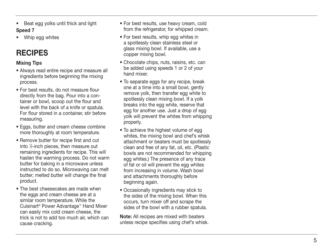- Beat egg yolks until thick and light **Speed 7**
- Whip egg whites

# **RECIPES**

## **Mixing Tips**

- Always read entire recipe and measure all ingredients before beginning the mixing process.
- For best results, do not measure flour directly from the bag. Pour into a container or bowl, scoop out the flour and level with the back of a knife or spatula. For flour stored in a container, stir before measuring.
- Eggs, butter and cream cheese combine more thoroughly at room temperature.
- Remove butter for recipe first and cut into 1⁄2-inch pieces, then measure out remaining ingredients for recipe. This will hasten the warming process. Do not warm butter for baking in a microwave unless instructed to do so. Microwaving can melt butter; melted butter will change the final product.
- The best cheesecakes are made when the eggs and cream cheese are at a similar room temperature. While the Cuisinart ® Power Advantage ™ Hand Mixer can easily mix cold cream cheese, the trick is not to add too much air, which can cause cracking.
- For best results, use heavy cream, cold from the refrigerator, for whipped cream.
- For best results, whip egg whites in a spotlessly clean stainless steel or glass mixing bowl. If available, use a copper mixing bowl.
- Chocolate chips, nuts, raisins, etc. can be added using speeds 1 or 2 of your hand mixer.
- To separate eggs for any recipe, break one at a time into a small bowl, gently remove yolk, then transfer egg white to spotlessly clean mixing bowl. If a yolk breaks into the egg white, reserve that egg for another use. Just a drop of egg yolk will prevent the whites from whipping properly.
- To achieve the highest volume of egg whites, the mixing bowl and chef's whisk attachment or beaters must be spotlessly clean and free of any fat, oil, etc. (Plastic bowls are not recommended for whipping egg whites.) The presence of any trace of fat or oil will prevent the egg whites from increasing in volume. Wash bowl and attachments thoroughly before beginning again.
- Occasionally ingredients may stick to the sides of the mixing bowl. When this occurs, turn mixer off and scrape the sides of the bowl with a rubber spatula.

**Note:** All recipes are mixed with beaters unless recipe specifies using chef's whisk.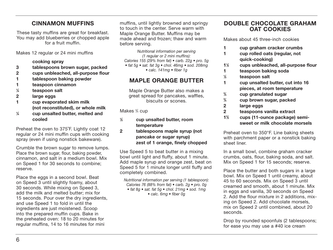## **CINNAMON MUFFINS**

These tasty muffins are great for breakfast. You may add blueberries or chopped apple for a fruit muffin.

Makes 12 regular or 24 mini muffins

#### **cooking spray**

- **3 tablespoons brown sugar, packed**
- **2 cups unbleached, all-purpose flour**
- **1 tablespoon baking powder**
- **1 teaspoon cinnamon**
- **1 ⁄4 teaspoon salt**
- **2 large eggs**
- **1 cup evaporated skim milk (not reconstituted), or whole milk**
- **1 ⁄4 cup unsalted butter, melted and cooled**

Preheat the oven to 375˚F. Lightly coat 12 regular or 24 mini muffin cups with cooking spray (even if using nonstick bakeware).

Crumble the brown sugar to remove lumps. Place the brown sugar, flour, baking powder, cinnamon, and salt in a medium bowl. Mix on Speed 1 for 30 seconds to combine; reserve.

Place the eggs in a second bowl. Beat on Speed 3 until slightly foamy, about 30 seconds. While mixing on Speed 3, add the milk and melted butter; mix for 15 seconds. Pour over the dry ingredients, and use Speed 1 to fold in until the ingredients are just moistened. Scoop into the prepared muffin cups. Bake in the preheated oven: 18 to 20 minutes for regular muffins, 14 to 16 minutes for mini

muffins, until lightly browned and springy to touch in the center. Serve warm with Maple Orange Butter. Muffins may be made ahead and frozen; thaw and warm before serving.

Nutritional information per serving (1 regular or 2 mini muffins): Calories 155 (29% from fat)  $\bullet$  carb. 22g  $\bullet$  pro. 5g • fat 5g • sat. fat 3g • chol. 46mg • sod. 208mg

• calc. 141mg • fiber 1g

## **MAPLE ORANGE BUTTER**

Maple Orange Butter also makes a great spread for pancakes, waffles, biscuits or scones.

Makes 3 ⁄4 cup

- **1 ⁄2 cup unsalted butter, room temperature**
- **2 tablespoons maple syrup (not pancake or sugar syrup) zest of 1 orange, finely chopped**

Use Speed 5 to beat butter in a mixing bowl until light and fluffy, about 1 minute. Add maple syrup and orange zest, beat on Speed 5 for 1 minute longer until fluffy and completely combined.

Nutritional information per serving (1 tablespoon): Calories 76 (88% from fat) • carb. 2g • pro. 0g • fat 8g • sat. fat 5g • chol. 21mg • sod. 1mg • calc. 6mg • fiber 0g

## **DOUBLE CHOCOLATE GRAHAM OAT COOKIES**

Makes about 45 three-inch cookies

- **1 cup graham cracker crumbs**
- **1 cup rolled oats (regular, not quick-cooking)**
- **11 ⁄2 cups unbleached, all-purpose flour**
- **1 teaspoon baking soda**
- **1 ⁄2 teaspoon salt**
- **1 cup unsalted butter, cut into 16 pieces, at room temperature**
- **3 ⁄4 cup granulated sugar**
- **3 ⁄4 cup brown sugar, packed**
- **2 large eggs**
- **2 teaspoons vanilla extract**
- **12 ⁄3 cups (11-ounce package) semi sweet or milk chocolate morsels**

Preheat oven to 350°F. Line baking sheets with parchment paper or a nonstick baking sheet liner.

In a small bowl, combine graham cracker crumbs, oats, flour, baking soda, and salt. Mix on Speed 1 for 15 seconds; reserve.

Place the butter and both sugars in a large bowl. Mix on Speed 1 until creamy, about 45 to 60 seconds. Mix on Speed 3 until creamed and smooth, about 1 minute. Mix in eggs and vanilla, 30 seconds on Speed 2. Add the flour mixture in 2 additions, mixing on Speed 2. Add chocolate morsels, mix on Speed 2 until combined, about 20 seconds.

Drop by rounded spoonfuls (2 tablespoons; for ease you may use a #40 ice cream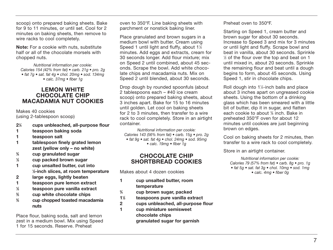scoop) onto prepared baking sheets. Bake for 9 to 11 minutes, or until set. Cool for 2 minutes on baking sheets, then remove to wire racks to cool completely.

**Note:** For a cookie with nuts, substitute half or all of the chocolate morsels with chopped nuts.

Nutritional information per cookie: Calories 154 (42% from fat)  $\bullet$  carb. 21 $\alpha \bullet$  pro. 2 $\alpha$ • fat 7g • sat. fat 4g • chol. 20mg • sod. 134mg • calc. 37mg • fiber 1g

#### **LEMON WHITE CHOCOLATE CHIP MACADAMIA NUT COOKIES**

Makes 40 cookies (using 2-tablespoon scoop)

- **21 ⁄4 cups unbleached, all-purpose flour**
- **1 teaspoon baking soda**
- **1 teaspoon salt**
- **1 tablespoon finely grated lemon zest (yellow only – no white)**
- **3 ⁄4 cup granulated sugar**
- **1 ⁄2 cup packed brown sugar**
- **1 cup unsalted butter, cut into 1 ⁄2-inch slices, at room temperature**
- **2 large eggs, lightly beaten**
- **1 teaspoon pure lemon extract**
- **1 ⁄2 teaspoon pure vanilla extract**
- **2 ⁄3 cup white chocolate chips**
- **2 ⁄3 cup chopped toasted macadamia nuts**

Place flour, baking soda, salt and lemon zest in a medium bowl. Mix using Speed 1 for 15 seconds. Reserve. Preheat

oven to 350°F. Line baking sheets with parchment or nonstick baking liner.

Place granulated and brown sugars in a medium bowl with butter. Cream using Speed 1 until light and fluffy, about 1½ minutes. Add eggs and extracts, cream for 30 seconds longer. Add flour mixture; mix on Speed 2 until combined, about 45 seconds. Scrape the bowl. Add white chocolate chips and macadamia nuts. Mix on Speed 2 until blended, about 30 seconds.

Drop dough by rounded spoonfuls (about 2 tablespoons each – #40 ice cream scoop) onto prepared baking sheets, about 3 inches apart. Bake for 15 to 16 minutes until golden. Let cool on baking sheets for 2 to 3 minutes, then transfer to a wire rack to cool completely. Store in an airtight container.

Nutritional information per cookie: Calories 143 (56% from fat) • carb. 15g • pro. 2g • fat 9g • sat. fat 4g • chol. 24mg • sod. 95mg • calc. 19mg • fiber 1g

#### **CHOCOLATE CHIP SHORTBREAD COOKIES**

Makes about 4 dozen cookies

- **1 cup unsalted butter, room temperature**
- **3 ⁄4 cup brown sugar, packed**
- **11 ⁄2 teaspoons pure vanilla extract**
- **2 cups unbleached, all-purpose flour**
- **1 cup miniature semisweet chocolate chips granulated sugar for garnish**

Preheat oven to 350ºF.

Starting on Speed 1, cream butter and brown sugar for about 30 seconds. Increase to Speed 3 and mix for 3 minutes or until light and fluffy. Scrape bowl and beat in vanilla, about 30 seconds. Sprinkle  $\%$  of the flour over the top and beat on 1 until mixed in, about 20 seconds. Sprinkle the remaining flour and beat until a dough begins to form, about 45 seconds. Using Speed 1, stir in chocolate chips.

Roll dough into 1¼-inch balls and place about 3 inches apart on ungreased cookie sheets. Using the bottom of a drinking glass which has been smeared with a little bit of butter, dip it in sugar, and flatten each cookie to about 3 ⁄8 inch. Bake in preheated 350°F oven for about 12 minutes until cookies are just beginning brown on edges.

Cool on baking sheets for 2 minutes, then transfer to a wire rack to cool completely.

Store in an airtight container.

Nutritional information per cookie: Calories 79 (57% from fat) • carb. 8g • pro. 1g • fat 5g • sat. fat 3g • chol. 10mg • sod. 1mg • calc. 4mg • fiber 0g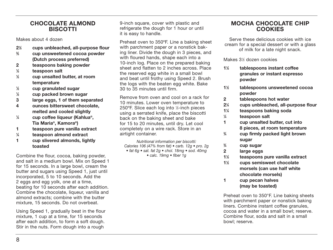#### **CHOCOLATE ALMOND BISCOTTI**

Makes about 4 dozen

- **21 ⁄2 cups unbleached, all-purpose flour**
- **2 ⁄3 cup unsweetened cocoa powder (Dutch process preferred)**
- **2 teaspoons baking powder**
- **1 ⁄2 teaspoon salt**
- **1 ⁄2 cup unsalted butter, at room temperature**
- **1 ⁄2 cup granulated sugar**
- **1 ⁄2 cup packed brown sugar**
- **3 large eggs, 1 of them separated**
- **4 ounces bittersweet chocolate, melted and cooled slightly**
- **1 ⁄4 cup coffee liqueur (Kahlua®, Tia Maria®, Kamora®)**
- **1 teaspoon pure vanilla extract**
- **1 ⁄4 teaspoon almond extract**
- **1 cup slivered almonds, lightly toasted**

Combine the flour, cocoa, baking powder, and salt in a medium bowl. Mix on Speed 1 for 15 seconds. In a large bowl, cream the butter and sugars using Speed 1, just until incorporated, 5 to 10 seconds. Add the 2 eggs and egg yolk, one at a time, beating for 10 seconds after each addition. Combine the chocolate, liqueur, vanilla and almond extracts; combine with the butter mixture, 15 seconds. Do not overbeat.

Using Speed 1, gradually beat in the flour mixture, 1 cup at a time, for 15 seconds after each addition, to form a soft dough. Stir in the nuts. Form dough into a rough

9-inch square, cover with plastic and refrigerate the dough for 1 hour or until it is easy to handle.

Preheat oven to 350ºF. Line a baking sheet with parchment paper or a nonstick baking liner. Divide the dough in 3 pieces, and with floured hands, shape each into a 10-inch log. Place on the prepared baking sheet and flatten to 2 inches across. Place the reserved egg white in a small bowl and beat until frothy using Speed 2. Brush the logs with the beaten egg white. Bake 30 to 35 minutes until firm.

Remove from oven and cool on a rack for 10 minutes. Lower oven temperature to 250ºF. Slice each log into 1 ⁄2-inch pieces using a serrated knife, place the biscotti back on the baking sheet and bake for 15 to 20 minutes, until dry. Let cool completely on a wire rack. Store in an airtight container.

Nutritional information per biscotti: Calories 106 (47% from fat)  $\bullet$  carb. 12g  $\bullet$  pro. 2g • fat 6g • sat. fat 2g • chol. 18mg • sod. 40mg • calc. 19mg • fiber 1g

## **MOCHA CHOCOLATE CHIP COOKIES**

Serve these delicious cookies with ice cream for a special dessert or with a glass of milk for a late night snack.

Makes 31 ⁄2 dozen cookies

- **11 ⁄2 tablespoons instant coffee granules or instant espresso powder**
- **11 ⁄2 tablespoons unsweetened cocoa powder**
- **2 tablespoons hot water**
- **21 ⁄4 cups unbleached, all-purpose flour**
- **11 ⁄4 teaspoons baking soda**
- **1 ⁄4 teaspoon salt**
- **1 cup unsalted butter, cut into 8 pieces, at room temperature**
- **3 ⁄4 cup firmly packed light brown sugar**
- **3 ⁄4 cup sugar**
- **2 large eggs**
- **11 ⁄2 teaspoons pure vanilla extract**
- **11 ⁄2 cups semisweet chocolate morsels (can use half white chocolate morsels)**
- **1 cup pecan halves (may be toasted)**

Preheat oven to 350°F. Line baking sheets with parchment paper or nonstick baking liners. Combine instant coffee granules, cocoa and water in a small bowl; reserve. Combine flour, soda and salt in a small bowl; reserve.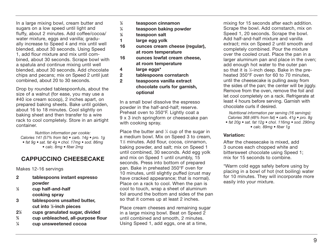In a large mixing bowl, cream butter and sugars on a low speed until light and fluffy, about 2 minutes. Add coffee/cocoa/ water mixture, eggs and vanilla; gradually increase to Speed 4 and mix until well blended, about 30 seconds. Using Speed 1, add flour mixture and mix until combined, about 30 seconds. Scrape bowl with a spatula and continue mixing until well blended, about 30 seconds. Add chocolate chips and pecans; mix on Speed 2 until just combined, about 20 to 30 seconds.

Drop by rounded tablespoonfuls, about the size of a walnut (for ease, you may use a #40 ice cream scoop), 2 inches apart, on prepared baking sheets. Bake until golden, about 16 to 18 minutes. Cool slightly on baking sheet and then transfer to a wire rack to cool completely. Store in an airtight container.

Nutrition information per cookie: Calories 141 (57% from fat) • carb. 14g • pro. 1g • fat 9g • sat. fat 4g • chol. 17mg • sod. 86mg • calc. 8mg • fiber 2mg

## **CAPPUCCINO CHEESECAKE**

Makes 12-16 servings

- **2 tablespoons instant espresso powder**
- **1 ⁄2 cup half-and-half cooking spray**
- **3 tablespoons unsalted butter, cut into 1 ⁄2-inch pieces**
- **21 ⁄2 cups granulated sugar, divided**
- **3 ⁄4 cup unbleached, all-purpose flour**
- **1 ⁄4 cup unsweetened cocoa**
- **1 ⁄2 teaspoon cinnamon**
- **1 ⁄4 teaspoon baking powder**
- **1 ⁄8 teaspoon salt**
- **1 large egg yolk**
- **16 ounces cream cheese (regular), at room temperature**
- **16 ounces lowfat cream cheese, at room temperature**
- **4 large eggs\***
- **2 tablespoons cornstarch**
- **2 teaspoons vanilla extract chocolate curls for garnish, optional**

In a small bowl dissolve the espresso powder in the half-and-half; reserve. Preheat oven to 350°F. Lightly coat a 9 x 3 inch springform or cheesecake pan with cooking spray.

Place the butter and  $\frac{1}{4}$  cup of the sugar in a medium bowl. Mix on Speed 3 to cream, 11 ⁄2 minutes. Add flour, cocoa, cinnamon, baking powder, and salt; mix on Speed 1 until combined, 30 seconds. Add egg yolk and mix on Speed 1 until crumbly, 15 seconds. Press into bottom of prepared pan. Bake in preheated 350°F oven for 10 minutes, until slightly puffed (crust may have cracked appearance; that is normal). Place on a rack to cool. When the pan is cool to touch, wrap a sheet of aluminum foil around the bottom and sides of the pan so that it comes up at least 2 inches.

Place cream cheeses and remaining sugar in a large mixing bowl. Beat on Speed 2 until combined and smooth, 2 minutes. Using Speed 1, add eggs, one at a time,

mixing for 15 seconds after each addition. Scrape the bowl. Add cornstarch, mix on Speed 1, 20 seconds. Scrape the bowl. Add half-and-half mixture and vanilla extract; mix on Speed 2 until smooth and completely combined. Pour the mixture over the cooled crust. Place the pan in a larger aluminum pan and place in the oven; add enough hot water to the outer pan so that it is 1 ⁄2-inch deep. Bake in the preheated 350°F oven for 60 to 70 minutes, until the cheesecake is pulling away from the sides of the pan; the center will be jiggly. Remove from the oven, remove the foil and let cool completely on a rack. Refrigerate at least 4 hours before serving. Garnish with chocolate curls if desired.

Nutritional information per serving (16 servings): Calories 368 (48% from fat) • carb. 41g • pro. 8g • fat 20g • sat. fat 12g • chol. 116mg • sod. 290mg

• calc. 89mg • fiber 1g

#### **Variation:**

After the cheesecake is mixed, add 3 ounces each chopped white and bittersweet chocolate using Speed 1; mix for 15 seconds to combine.

\*Warm cold eggs safely before using by placing in a bowl of hot (not boiling) water for 10 minutes. They will incorporate more easily into your mixture.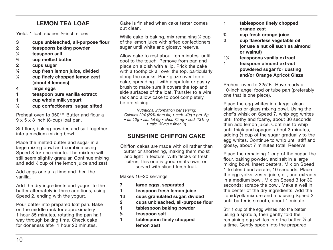## **LEMON TEA LOAF**

Yield: 1 loaf, sixteen 1 ⁄2-inch slices

- **3 cups unbleached, all-purpose flour**
- **2 teaspoons baking powder**
- **1 ⁄2 teaspoon salt**
- **2 ⁄3 cup melted butter**
- **2 cups sugar**
- **3 ⁄4 cup fresh lemon juice, divided**
- **1 ⁄4 cup finely chopped lemon zest (about 4 lemons)**
- **4 large eggs**
- **1 teaspoon pure vanilla extract**
- **1 cup whole milk yogurt**
- **1 ⁄2 cup confectioners**' **sugar, sifted**

Preheat oven to 350°F. Butter and flour a 9 x 5 x 3 inch (8-cup) loaf pan.

Sift flour, baking powder, and salt together into a medium mixing bowl.

Place the melted butter and sugar in a large mixing bowl and combine using Speed 3 for one minute. The mixture will still seem slightly granular. Continue mixing and add 1 ⁄2 cup of the lemon juice and zest.

Add eggs one at a time and then the vanilla.

Add the dry ingredients and yogurt to the batter alternately in three additions, using Speed 2, ending with the yogurt.

Pour batter into prepared loaf pan. Bake on the middle rack for approximately 1 hour 35 minutes, rotating the pan half way through baking time. Check cake for doneness after 1 hour 20 minutes.

Cake is finished when cake tester comes out clean.

While cake is baking, mix remaining 1 ⁄4 cup of the lemon juice with sifted confectioners' sugar until white and glossy; reserve.

Allow cake to rest about ten minutes, until cool to the touch. Remove from pan and place on a dish with a lip. Prick the cake with a toothpick all over the top, particularly along the cracks. Pour glaze over top of cake, spreading it with a spatula or pastry brush to make sure it covers the top and side surfaces of the loaf. Transfer to a wire rack and allow cake to cool completely before slicing.

Nutritional information per serving: Calories 294 (29% from fat) • carb. 49g • pro. 5g • fat 10g • sat. fat 6g • chol. 75mg • sod. 131mg • calc. 32mg • fiber 1g

## **SUNSHINE CHIFFON CAKE**

Chiffon cakes are made with oil rather than butter or shortening, making them moist and light in texture. With flecks of fresh citrus, this one is good on its own, or served with sliced fresh fruit.

Makes 16–20 servings

- **7 large eggs, separated**
- **1 teaspoon fresh lemon juice**
- **11 ⁄2 cups granulated sugar, divided**
- **2 cups unbleached, all-purpose flour**
- **1 tablespoon baking powder**
- **1 ⁄4 teaspoon salt**
- **1 tablespoon finely chopped lemon zest**
- **1 tablespoon finely chopped orange zest**
- **3 ⁄4 cup fresh orange juice**

**1**

- **⁄2 cup flavorless vegetable oil (or use a nut oil such as almond or walnut)**
- **11 ⁄2 teaspoons vanilla extract**
- **1 teaspoon almond extract powdered sugar for dusting and/or Orange Apricot Glaze**

Preheat oven to 325°F. Have ready a 10-inch angel food or tube pan (preferably one that is one piece).

Place the egg whites in a large, clean stainless or glass mixing bowl. Using the chef's whisk on Speed 7, whip egg whites until frothy and foamy, about 30 seconds, then add lemon juice. Continue to whip until thick and opaque, about 3 minutes, adding  $\%$  cup of the sugar gradually to the egg whites. Continue to whip until stiff and glossy, about 7 minutes total. Reserve.

Place the remaining 1 cup of the sugar, the flour, baking powder, and salt in a large mixing bowl. Insert beaters. Mix on Speed 1 to blend and aerate, 10 seconds. Place the egg yolks, zests, juice, oil, and extracts in a medium bowl. Mix on Speed 3 for 30 seconds; scrape the bowl. Make a well in the center of the dry ingredients. Add the liquid/yolk mixture and mix using Speed 3 until batter is smooth, about 1 minute.

Stir 1 cup of the egg whites into the batter using a spatula, then gently fold the remaining egg whites into the batter  $\%$  at a time. Gently spoon into the prepared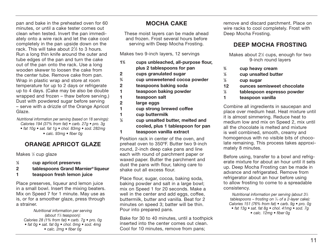pan and bake in the preheated oven for 60 minutes, or until a cake tester comes out clean when tested. Invert the pan immediately onto a wire rack and let the cake cool completely in the pan upside down on the rack. This will take about 2<sup>1</sup>/<sub>2</sub> to 3 hours. Run a long thin knife around the outer and tube edges of the pan and turn the cake out of the pan onto the rack. Use a long wooden skewer to loosen the cake from the center tube. Remove cake from pan. Wrap in plastic wrap and store at room temperature for up to 2 days or refrigerate up to 4 days. (Cake may be also be double wrapped and frozen – thaw before serving.) Dust with powdered sugar before serving – serve with a drizzle of the Orange Apricot Glaze.

Nutritional information per serving (based on 18 servings): Calories 194 (37% from fat) • carb. 27g • pro. 3g • fat 10g • sat. fat 1g • chol. 83mg • sod. 282mg • calc. 93mg • fiber 0g

## **ORANGE APRICOT GLAZE**

Makes ½ cup glaze

- **1 ⁄2 cup apricot preserves**
- **2 tablespoons Grand Marnier® liqueur**
- **1 teaspoon fresh lemon juice**

Place preserves, liqueur and lemon juice in a small bowl. Insert the mixing beaters. Mix on Speed 7 for 1 minute. May use as is, or for a smoother glaze, press through a strainer.

Nutritional information per serving (about 11 ⁄3 teaspoon): Calories 28 (1% from fat) • carb. 7g • pro. 0g • fat 0g • sat. fat 0g • chol. 0mg • sod. 4mg • calc. 2mg • fiber 0g

## **MOCHA CAKE**

These moist layers can be made ahead and frozen. Frost several hours before serving with Deep Mocha Frosting.

Makes two 9-inch layers, 12 servings

- **13 ⁄4 cups unbleached, all-purpose flour, plus 2 tablespoons for pan**
- **2 cups granulated sugar**
- **3 ⁄4 cup unsweetened cocoa powder**
- **2 teaspoons baking soda**
- **1 teaspoon baking powder**
- **1 teaspoon salt**
- **2 large eggs**
- **1 cup strong brewed coffee**
- **1 cup buttermilk**
- **1 ⁄2 cup unsalted butter, melted and cooled, plus 1 tablespoon for pan 1 teaspoon vanilla extract**

Position rack in center of the oven, and preheat oven to 350ºF. Butter two 9-inch round, 2-inch deep cake pans and line each with round of parchment paper or waxed paper. Butter the parchment and dust the pans with flour, taking care to shake out all excess flour.

Place flour, sugar, cocoa, baking soda, baking powder and salt in a large bowl; mix on Speed 1 for 20 seconds. Make a well in the center and add eggs, coffee, buttermilk, butter and vanilla. Beat for 2 minutes on speed 3; batter will be thin. Pour into prepared pans.

Bake for 30 to 40 minutes, until a toothpick inserted into the center comes out clean. Cool for 10 minutes, remove from pans;

remove and discard parchment. Place on wire racks to cool completely. Frost with Deep Mocha Frosting.

## **DEEP MOCHA FROSTING**

Makes about 21 ⁄2 cups, enough for two 9-inch round layers

- **3 ⁄4 cup heavy cream**
- **1 ⁄2 cup unsalted butter**
- **1 ⁄2 cup sugar**
- **12 ounces semisweet chocolate**
- **1 ⁄2 tablespoon espresso powder**
- **1 teaspoon vanilla**

Combine all ingredients in saucepan and place over medium heat. Heat mixture until it is almost simmering. Reduce heat to medium low and mix on Speed 2, mix until all the chocolate is melted and mixture is well combined, smooth, creamy and homogenous with no visible bits of chocolate remaining. This process takes approximately 8 minutes.

Before using, transfer to a bowl and refrigerate mixture for about an hour until it sets up. Deep Mocha Frosting can be made in advance and refrigerated. Remove from refrigerator about an hour before using to allow frosting to come to a spreadable consistency.

Nutritional information per serving (about 31 ⁄3 tablespoons – frosting on 1 ⁄12 of a 2-layer cake): Calories 151 (76% from fat) • carb. 9g • pro. 0g • fat 13g • sat. fat 8g • chol. 41mg • sod. 7g • calc. 12mg • fiber 0g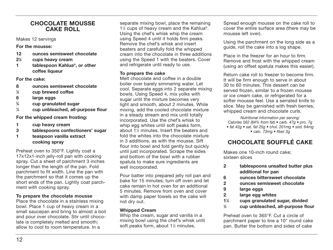#### **CHOCOLATE MOUSSE CAKE ROLL**

Makes 12 servings

**For the mousse:**

- **12 ounces semisweet chocolate**
- **21 ⁄2 cups heavy cream**
- **1 tablespoon Kahlua®, or other coffee liqueur**

**For the cake:**

- **8 ounces semisweet chocolate**
- **1 ⁄4 cup brewed coffee**
- **6 large eggs**
- **3 ⁄4 cup granulated sugar**
- **1 ⁄4 cup unbleached, all-purpose flour**

#### **For the whipped cream frosting:**

- **1 cup heavy cream**
- **3 tablespoons confectioners' sugar**
- **1 teaspoon vanilla extract cooking spray**

Preheat oven to 350°F. Lightly coat a 17x12x1-inch jelly-roll pan with cooking spray. Cut a sheet of parchment 3 inches longer than the length of the pan. Fold parchment to fit width. Line the pan with the parchment so that it comes up the short ends of the pan. Lightly coat parchment with cooking spray.

#### **To prepare the chocolate mousse**

Place the chocolate in a stainless mixing bowl. Place 1 cup of heavy cream in a small saucepan and bring to almost a boil and pour over chocolate. Stir until chocolate is completely melted and smooth; allow to cool to room temperature. In a

separate mixing bowl, place the remaining 11 ⁄2 cups of heavy cream and the Kahlua®. Using the chef's whisk whip the cream using Speed 4 until it holds firm peaks. Remove the chef's whisk and insert beaters and carefully fold the whipped cream into the chocolate in three additions using the Speed 1 with the beaters. Cover and refrigerate until ready to use.

#### **To prepare the cake**

Melt chocolate and coffee in a double boiler over barely simmering water. Let cool. Separate eggs into 2 separate mixing bowls. Using Speed 4, mix yolks with sugar until the mixture becomes very light and smooth, about 2 minutes. While mixing, add the cooled chocolate mixture in a steady stream and mix until totally incorporated. Use the chef's whisk to whip egg whites until soft peaks form, about 11 ⁄2 minutes. Insert the beaters and fold the whites into the chocolate mixture in 3 additions, as with the mousse. Sift flour into bowl and fold gently but quickly until just incorporated. Scrape the sides and bottom of the bowl with a rubber spatula to make sure ingredients are well incorporated.

Pour batter into prepared jelly roll pan and bake for 15 minutes; turn off oven and let cake remain in hot oven for an additional 5 minutes. Remove from oven and cover with damp paper towels so the cake will not dry out.

#### **Whipped Cream**

Whip the cream, sugar and vanilla in a mixing bowl using the chef's whisk until soft peaks form, about 1½ minutes.

Spread enough mousse on the cake roll to cover the entire surface area (there may be mousse left over).

Using the parchment on the long side as a guide, roll the cake into a log shape.

Place in the freezer for an hour to firm. Remove and frost with the whipped cream (using an offset spatula makes this easier).

Return cake roll to freezer to become firm. It will be firm enough to serve in about 30 to 60 minutes. This dessert can be served frozen, similar to a frozen mousse or ice cream cake, or refrigerated for a softer mousse feel. Use a serrated knife to slice. May be garnished with fresh berries, whipped cream and chocolate curls.

Nutritional information per serving: Calories 562 (64% from fat) • carb. 47g • pro. 7g • fat 42g • sat. fat 25g • chol. 201mg • sod. 64mg • calc. 73mg • fiber 3g

## **CHOCOLATE SOUFFLÉ CAKE**

Makes one 10-inch round cake; sixteen slices

- **2 tablespoons unsalted butter plus additional for pan**
- **6 ounces bittersweet chocolate**
- **2 ounces semisweet chocolate**
- **9 large eggs**
- **2 large egg whites**
- **11 ⁄4 cups granulated sugar, divided**
- **1 ⁄3 cup unbleached, all-purpose flour**

Preheat oven to 365°F. Cut a circle of parchment paper to line a 10" round cake pan. Butter the bottom and sides of cake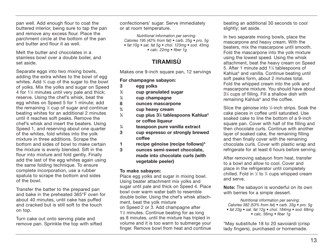pan well. Add enough flour to coat the buttered interior, being sure to tap the pan and remove any excess flour. Place the parchment circle at the bottom of the pan and butter and flour it as well.

Melt the butter and chocolates in a stainless bowl over a double boiler, and set aside.

Separate eggs into two mixing bowls. adding the extra whites to the bowl of egg whites. Add 3 ⁄4 cup of the sugar to the bowl of yolks. Mix the yolks and sugar on Speed 4 for 1<sup>1/2</sup> minutes until very pale and thick; reserve. Using the chef's whisk, beat the egg whites on Speed 5 for 1 minute; add the remaining 1 ⁄2 cup of sugar and continue beating whites for an additional 2 minutes until it reaches soft peaks. Remove the chef's whisk and insert the beaters. Using Speed 1, and reserving about one quarter of the whites, fold whites into the yolk mixture in three additions. Scrape the bottom and sides of bowl to make certain the mixture is evenly blended. Sift in the flour into mixture and fold gently. Finally add the last of the egg whites again using the same folding technique. To ensure complete incorporation, use a rubber spatula to scrape the bottom and sides of the bowl.

Transfer the batter to the prepared pan and bake in the preheated 365°F oven for about 40 minutes, until cake has puffed and cracked but is still soft to the touch on top.

Turn cake out onto serving plate and remove pan. Sprinkle the top with sifted confectioners' sugar. Serve immediately or at room temperature.

Nutritional information per serving: Calories 195 (42% from fat)  $\bullet$  carb. 25q  $\bullet$  pro. 5q • fat 10g • sat. fat 5g • chol. 123mg • sod. 43mg • calc. 22mg • fiber 1g

## **TIRAMISÙ**

Makes one 9-inch square pan, 12 servings

**For champagne sabayon:**

- **3 egg yolks**
- **1 ⁄2 cup granulated sugar**
- **1 ⁄2 cup champagne**
- **8 ounces mascarpone**
- **3 ⁄4 cup heavy cream**
- **1 ⁄4 cup plus 31 ⁄2 tablespoons Kahlua® or coffee liqueur**
- **1 ⁄4 teaspoon pure vanilla extract**
- **3 cup espresso or strongly brewed coffee**
- **1 recipe génoise (recipe follows)\***
- **3 ounces semi-sweet chocolate, made into chocolate curls (with vegetable peeler)**

#### **To make sabayon:**

Place egg yolks and sugar in mixing bowl. Using beater attachment mix yolks and sugar until pale and thick on Speed 4. Place bowl over warm water bath to resemble double boiler. Using the chef's whisk attachment, beat the yolk mixture on Speed 2 or 3. Add champagne after 11 ⁄2 minutes. Continue beating for as long as 8 minutes, until the mixture has tripled in volume and it is too warm to submerge your finger. Remove bowl from heat and continue

beating an additional 30 seconds to cool slightly; set aside.

In two separate mixing bowls, place the mascarpone and heavy cream. With the beaters, mix the mascarpone until smooth. Fold the mascarpone into the yolk mixture using the lowest speed. Using the whisk attachment, beat the heavy cream on Speed 5. After 1 minute add 11 ⁄2 tablespoons of Kahlua® and vanilla. Continue beating until soft peaks form, about 2 minutes total. Fold the whipped cream into the yolk and mascarpone mixture. You should have about 31 ⁄2 cups of filling. Fill a shallow dish with remaining Kahlua® and the coffee.

Slice the génoise into 1 ⁄2-inch strips. Soak the cake pieces in coffee until saturated. Use soaked cake to line the bottom of a 9-inch square pan. Cover with half of the filling and then chocolate curls. Continue with another layer of soaked cake, the remaining filling and then finally cover with the remaining chocolate curls. Cover with plastic wrap and refrigerate for at least 6 hours before serving.

After removing sabayon from heat, transfer to a bowl and allow to cool. Cover and place in the refrigerator until completely chilled. Fold in 1 ⁄2 to 3 ⁄4 cups whipped cream and serve.

**Note:** The sabayon is wonderful on its own with berries for a simple dessert.

Nutritional information per serving: Calories 382 (53% from fat) • carb. 33g • pro. 5g • fat 23g • sat. fat 12g • chol. 184mg • sod. 68mg • calc. 56mg • fiber 1g

\*May substitute 18 to 20 savoiardi (crisp lady fingers), purchased or homemade.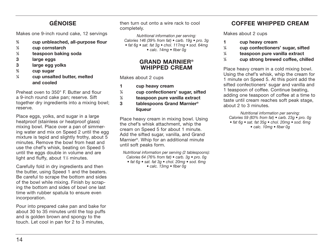## **GÉNOISE**

Makes one 9-inch round cake, 12 servings

- **2 ⁄3 cup unbleached, all-purpose flour**
- **1 ⁄3 cup cornstarch**
- **1 ⁄3 teaspoon baking soda**
- **3 large eggs**
- **3 large egg yolks**
- **2 ⁄3 cup sugar**
- **1 ⁄4 cup unsalted butter, melted and cooled**

Preheat oven to 350° F. Butter and flour a 9-inch round cake pan; reserve. Sift together dry ingredients into a mixing bowl; reserve.

Place eggs, yolks, and sugar in a large heatproof (stainless or heatproof glass) mixing bowl. Place over a pan of simmering water and mix on Speed 2 until the egg mixture is tepid and slightly frothy, about 5 minutes. Remove the bowl from heat and use the chef's whisk, beating on Speed 5 until the eggs double in volume and are light and fluffy, about 1½ minutes.

Carefully fold in dry ingredients and then the butter, using Speed 1 and the beaters. Be careful to scrape the bottom and sides of the bowl while mixing. Finish by scraping the bottom and sides of bowl one last time with rubber spatula to ensure even incorporation.

Pour into prepared cake pan and bake for about 30 to 35 minutes until the top puffs and is golden brown and spongy to the touch. Let cool in pan for 2 to 3 minutes,

then turn out onto a wire rack to cool completely.

Nutritional information per serving: Calories 146 (39% from fat) • carb. 19g • pro. 3g • fat 6g • sat. fat 3g • chol. 117mg • sod. 64mg • calc. 14mg • fiber 0g

#### **GRAND MARNIER® WHIPPED CREAM**

Makes about 2 cups

- **1 cup heavy cream**
- **1 ⁄4 cup confectioners' sugar, sifted**
- **1 ⁄2 teaspoon pure vanilla extract**
- **3 tablespoons Grand Marnier® liqueur**

Place heavy cream in mixing bowl. Using the chef's whisk attachment, whip the cream on Speed 5 for about 1 minute. Add the sifted sugar, vanilla, and Grand Marnier®. Whip for an additional minute until soft peaks form.

Nutritional information per serving (2 tablespoons): Calories 64 (76% from fat) • carb. 3g • pro. 0g • fat 6g • sat. fat 3g • chol. 20mg • sod. 6mg • calc. 13mg • fiber 0g

## **COFFEE WHIPPED CREAM**

Makes about 2 cups

- **1 cup heavy cream**
- **1 ⁄4 cup confectioners' sugar, sifted**
- **1 ⁄4 teaspoon pure vanilla extract**
- **1 ⁄4 cup strong brewed coffee, chilled**

Place heavy cream in a cold mixing bowl. Using the chef's whisk, whip the cream for 1 minute on Speed 5. At this point add the sifted confectioners' sugar and vanilla and 1 teaspoon of coffee. Continue beating, adding one teaspoon of coffee at a time to taste until cream reaches soft peak stage, about 2 to 3 minutes.

Nutritional information per serving: Calories 59 (83% from fat) • carb. 23g • pro. 0g • fat 6g • sat. fat 35g • chol. 20mg • sod. 6mg • calc. 10mg • fiber 0g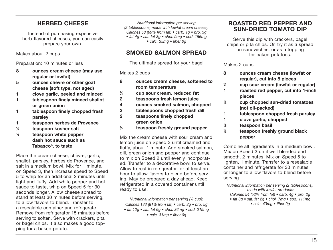## **HERBED CHEESE**

Instead of purchasing expensive herb-flavored cheeses, you can easily prepare your own.

Makes about 2 cups

Preparation: 10 minutes or less

- **8 ounces cream cheese (may use regular or lowfat)**
- **5 ounces chèvre or other goat cheese (soft type, not aged)**
- **1 clove garlic, peeled and minced**
- **1 tablespoon finely minced shallot or green onion**
- **1 tablespoon finely chopped fresh parsley**
- **1 teaspoon herbes de Provence**
- **1 ⁄2 teaspoon kosher salt**
- **1 ⁄4 teaspoon white pepper dash hot sauce such as Tabasco®, to taste**

Place the cream cheese, chèvre, garlic, shallot, parsley, herbes de Provence, and salt in a medium bowl. Mix for 1 minute, on Speed 3, then increase speed to Speed 5 to whip for an additional 2 minutes until light and fluffy. Add white pepper and hot sauce to taste, whip on Speed 5 for 30 seconds longer. Allow cheese spread to stand at least 30 minutes before serving, to allow flavors to blend. Transfer to a resealable container and refrigerate. Remove from refrigerator 15 minutes before serving to soften. Serve with crackers, pita or bagel chips. It also makes a good topping for a baked potato.

Nutritional information per serving (2 tablespoons, made with lowfat cream cheese): Calories 58 (69% from fat)  $\bullet$  carb. 1 $a \bullet$  pro. 3 $a$  $\bullet$  fat 4g  $\bullet$  sat. fat 3g  $\bullet$  chol. 9mg  $\bullet$  sod. 156mg • calc. 35mg • fiber 0g

## **SMOKED SALMON SPREAD**

The ultimate spread for your bagel

#### Makes 2 cups

- **8 ounces cream cheese, softened to room temperature 1 ⁄4 cup sour cream, reduced fat 2 teaspoons fresh lemon juice 4 ounces smoked salmon, chopped 2 tablespoons chopped fresh dill**
- **2 teaspoons finely chopped green onion**
- **1 ⁄2 teaspoon freshly ground pepper**

Mix the cream cheese with sour cream and lemon juice on Speed 3 until creamed and fluffy, about 1 minute. Add smoked salmon, dill, green onion and pepper and continue to mix on Speed 2 until evenly incorporated. Transfer to a decorative bowl to serve. Allow to rest in refrigerator for at least an hour to allow flavors to blend before serving. May be prepared a day ahead. Keep refrigerated in a covered container until ready to use.

Nutritional information per serving (¼ cup): Calories 133 (81% from fat) • carb. 2g • pro. 5g • fat 12g • sat. fat 6g • chol. 36mg • sod. 215mg • calc. 31mg • fiber 0g

#### **ROASTED RED PEPPER AND SUN-DRIED TOMATO DIP**

Serve this dip with crackers, bagel chips or pita chips. Or, try it as a spread on sandwiches, or as a topping for baked potatoes.

Makes 2 cups

- **8 ounces cream cheese (lowfat or regular), cut into 8 pieces**
- **1 ⁄2 cup sour cream (lowfat or regular)**
- **1 roasted red pepper, cut into 1-inch pieces**
- **1 ⁄3 cup chopped sun-dried tomatoes (not oil-packed)**
- **1 tablespoon chopped fresh parsley**
- **1 clove garlic, chopped**
- **1 ⁄2 teaspoon basil**
- **1 ⁄8 teaspoon freshly ground black pepper**

Combine all ingredients in a medium bowl. Mix on Speed 3 until well blended and smooth, 2 minutes. Mix on Speed 5 to lighten, 1 minute. Transfer to a resealable container and refrigerate for 30 minutes or longer to allow flavors to blend before serving.

Nutritional information per serving (2 tablespoons), made with lowfat products: Calories 54 (52% from fat) • carb. 4g • pro. 2g • fat 3g • sat. fat 2g • chol. 7mg • sod. 111mg • calc. 43mg • fiber 0g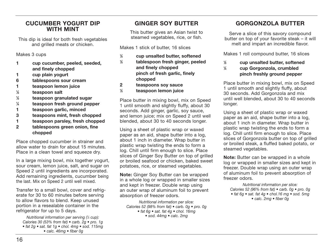#### **CUCUMBER YOGURT DIP WITH MINT**

This dip is ideal for both fresh vegetables and grilled meats or chicken.

Makes 3 cups

- **1 cup cucumber, peeled, seeded, and finely chopped**
- **1 cup plain yogurt**
- **6 tablespoons sour cream**
- **1 teaspoon lemon juice**
- **1 ⁄2 teaspoon salt**
- **1 ⁄2 teaspoon granulated sugar**
- **1 ⁄4 teaspoon fresh ground pepper**
- **1 teaspoon garlic, minced**
- **3 teaspoons mint, fresh chopped**
- **1 teaspoon parsley, fresh chopped**
- **2 tablespoons green onion, fine chopped**

Place chopped cucumber in strainer and allow water to drain for about 15 minutes. Place in a clean towel and squeeze dry.

In a large mixing bowl, mix together yogurt, sour cream, lemon juice, salt, and sugar on Speed 2 until ingredients are incorporated. Add remaining ingredients, cucumber being the last. Mix on Speed 2 until well mixed.

Transfer to a small bowl, cover and refrigerate for 30 to 60 minutes before serving to allow flavors to blend. Keep unused portion in a resealable container in the refrigerator for up to 5 days.

Nutritional information per serving (¼ cup): Calories 30 (53% from fat) • carb. 2g • pro. 1g • fat 2g • sat. fat 1g • chol. 4mg • sod. 115mg • calc. 46mg • fiber 0g

## **GINGER SOY BUTTER**

This butter gives an Asian twist to steamed vegetables, rice, or fish.

Makes 1 stick of butter, 16 slices

| ⅛ | cup unsalted butter, softened   |
|---|---------------------------------|
| ⅛ | tablespoon fresh ginger, peeled |
|   | and finely chopped              |
|   | pinch of fresh garlic, finely   |
|   | chopped                         |
| 2 | teaspoons soy sauce             |
| ⅛ | teaspoon lemon juice            |
|   |                                 |

Place butter in mixing bowl, mix on Speed 1 until smooth and slightly fluffy, about 30 seconds. Add ginger, garlic, soy sauce, and lemon juice; mix on Speed 2 until well blended, about 30 to 40 seconds longer.

Using a sheet of plastic wrap or waxed paper as an aid, shape butter into a log, about 1 inch in diameter. Wrap butter in plastic wrap twisting the ends to form a log. Chill until firm enough to slice. Place slices of Ginger Soy Butter on top of grilled or broiled seafood or chicken, baked sweet potatoes, rice, or steamed vegetables.

**Note:** Ginger Soy Butter can be wrapped in a whole log or wrapped in smaller sizes and kept in freezer. Double wrap using an outer wrap of aluminum foil to prevent absorption of freezer odors.

Nutritional information per slice: Calories 52 (98% from fat) • carb. 0g • pro. 0g • fat  $6g$  • sat. fat  $4g$  • chol. 16mg • sod. 44mg • calc. 2mg

## **GORGONZOLA BUTTER**

Serve a slice of this savory compound butter on top of your favorite steak – it will melt and impart an incredible flavor.

Makes 1 roll compound butter, 16 slices

- **1 ⁄2 cup unsalted butter, softened**
- **1 ⁄4 cup Gorgonzola, crumbled pinch freshly ground pepper**

Place butter in mixing bowl, mix on Speed 1 until smooth and slightly fluffy, about 30 seconds. Add Gorgonzola and mix until well blended, about 30 to 40 seconds longer.

Using a sheet of plastic wrap or waxed paper as an aid, shape butter into a log, about 1 inch in diameter. Wrap butter in plastic wrap twisting the ends to form a log. Chill until firm enough to slice. Place slices of Gorgonzola butter on top of grilled or broiled steak, a fluffed baked potato, or steamed vegetables.

**Note:** Butter can be wrapped in a whole log or wrapped in smaller sizes and kept in freezer. Double wrap using an outer wrap of aluminum foil to prevent absorption of freezer odors.

Nutritional information per slice: Calories 52 (96% from fat) • carb. 0g • pro. 0g • fat 6g • sat. fat 4g • chol.16 mg • sod. 5mg • calc. 2mg • fiber 0g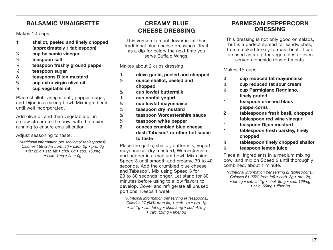## **BALSAMIC VINAIGRETTE**

Makes 1½ cups

- **1 shallot, peeled and finely chopped (approximately 1 tablespoon)**
- **1 ⁄4 cup balsamic vinegar**
- **1 ⁄2 teaspoon salt**
- **1 ⁄2 teaspoon freshly ground pepper**
- **1 ⁄2 teaspoon sugar**
- **3 teaspoons Dijon mustard**
- **3 ⁄4 cup extra virgin olive oil**
- **1 ⁄4 cup vegetable oil**

Place shallot, vinegar, salt, pepper, sugar, and Dijon in a mixing bowl. Mix ingredients until well incorporated.

Add olive oil and then vegetable oil in a slow stream to the bowl with the mixer running to ensure emulsification.

Adjust seasoning to taste.

- Nutritional information per serving (2 tablespoons): Calories 166 (96% from fat) • carb. 2g • pro. 0g • fat 22 g • sat. fat • chol. 0g • sod. 153mg
	- calc. 1mg fiber 0g

## **CREAMY BLUE CHEESE DRESSING**

This version is much lower in fat than traditional blue cheese dressings. Try it as a dip for celery the next time you serve Buffalo Wings.

Makes about 2 cups dressing

- **1 clove garlic, peeled and chopped**
- **1 ⁄2 ounce shallot, peeled and chopped 1 ⁄2 cup lowfat buttermilk 1 cup nonfat yogurt**
	- **⁄3 cup lowfat mayonnaise**
- **1 3 ⁄4 teaspoon dry mustard**
- **1**
- **⁄2 teaspoon Worcestershire sauce**
- **1 ⁄4 teaspoon white pepper**
- **3 ounces crumbled blue cheese dash Tabasco® or other hot sauce to taste**

Place the garlic, shallot, buttermilk, yogurt, mayonnaise, dry mustard, Worcestershire, and pepper in a medium bowl. Mix using Speed 3 until smooth and creamy, 30 to 40 seconds. Add the crumbled blue cheese and Tabasco®. Mix using Speed 3 for 20 to 30 seconds longer. Let stand for 30 minutes before using to allow flavors to develop. Cover and refrigerate all unused portions. Keeps 1 week.

Nutritional information per serving (4 teaspoons): Calories 27 (54% from fat) • carb. 1g • pro. 1g • fat 1g • sat. fat 0g • chol. 2mg • sod. 47mg • calc. 29mg • fiber 0g

#### **PARMESAN PEPPERCORN DRESSING**

This dressing is not only good on salads, but is a perfect spread for sandwiches, from smoked turkey to roast beef. It can be used as a dip for vegetables or even served alongside roasted meats.

Makes 1½ cups

- **1 ⁄2 cup reduced fat mayonnaise**
- **1 ⁄2 cup reduced fat sour cream**
- **1 ⁄2 cup Parmigiano Reggiano, finely grated**
- **1 teaspoon crushed black peppercorns**
- **2 tablespoons fresh basil, chopped**
- **1 tablespoon red wine vinegar**
- **1 teaspoon Dijon mustard**
- **1 tablespoon fresh parsley, finely chopped**
- **1 ⁄2 tablespoon finely chopped shallot**
- **1 ⁄2 teaspoon lemon juice**

Place all ingredients in a medium mixing bowl and mix on Speed 2 until thoroughly combined, about 1 minute.

Nutritional information per serving (2 tablespoons): Calories 61 (65% from fat) • carb. 3g • pro. 2g • fat 4g • sat. fat 1g • chol. 8mg • sod. 169mg • calc. 66mg • fiber 0g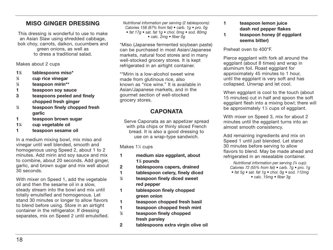## **MISO GINGER DRESSING**

This dressing is wonderful to use to make an Asian Slaw using shredded cabbage, bok choy, carrots, daikon, cucumbers and green onions, as well as to dress a traditional salad.

Makes about 2 cups

- **11 ⁄2 tablespoons miso\***
- **1 ⁄3 cup rice vinegar**
- **1 ⁄2 teaspoon mirin\*\***
- **1 teaspoon soy sauce**
- **3 teaspoons peeled and finely chopped fresh ginger**
- **1 ⁄2 teaspoon finely chopped fresh garlic**
- **1 teaspoon brown sugar**
- **11 ⁄4 cup vegetable oil**
- **1 teaspoon sesame oil**

In a medium mixing bowl, mix miso and vinegar until well blended, smooth and homogenous using Speed 2, about 1 to 2 minutes. Add mirin and soy sauce and mix to combine, about 20 seconds. Add ginger, garlic, and brown sugar and mix well about 30 seconds.

With mixer on Speed 1, add the vegetable oil and then the sesame oil in a slow, steady stream into the bowl and mix until totally emulsified and homogenous. Let stand 30 minutes or longer to allow flavors to blend before using. Store in an airtight container in the refrigerator. If dressing separates, mix on Speed 2 until emulsified. Nutritional information per serving (2 tablespoons): Calories 158 (97% from fat) • carb. 1g • pro. 0g • fat 17g • sat. fat 1g • chol. 0mg • sod. 80mg • calc. 2mg • fiber 0g

\*Miso (Japanese fermented soybean paste) can be purchased in most Asian/Japanese markets, natural food stores and in many well-stocked grocery stores. It is kept refrigerated in an airtight container.

\*\*Mirin is a low-alcohol sweet wine made from glutinous rice, also known as "rice wine." It is available in Asian/Japanese markets, and in the gourmet section of well-stocked grocery stores.

## **CAPONATA**

Serve Caponata as an appetizer spread with pita chips or thinly sliced French bread. It is also a good dressing to use on a wrap-type sandwich.

Makes 1¼ cups

- **1 medium size eggplant, about 11 ⁄2 pounds**
- **2 tablespoons capers, drained**
- **1 tablespoon celery, finely diced**
- **1 ⁄2 teaspoon finely diced sweet red pepper**
- **1 tablespoon finely chopped green onion**
- **1 teaspoon chopped fresh basil**
- **1 teaspoon chopped fresh mint**
- **1 ⁄2 teaspoon finely chopped fresh parsley**
- **2 tablespoons extra virgin olive oil**
- **1 teaspoon lemon juice dash red pepper flakes**
- **1 teaspoon honey (if eggplant seems bitter)**

Preheat oven to 400°F.

Pierce eggplant with fork all around the eggplant (about 8 times) and wrap in aluminum foil. Roast eggplant for approximately 45 minutes to 1 hour, until the eggplant is very soft and has collapsed. Unwrap and let cool.

When eggplant is cool to the touch (about 15 minutes) cut in half and spoon the soft eggplant flesh into a mixing bowl; there will be approximately 11 ⁄2 cups of eggplant.

With mixer on Speed 3, mix for about 2 minutes until the eggplant turns into an almost smooth consistency.

Add remaining ingredients and mix on Speed 1 until just blended. Let stand 30 minutes before serving to allow flavors to blend. May be made ahead and refrigerated in an resealable container.

Nutritional information per serving (¼ cup): Calories 72 (55% from fat)  $\bullet$  carb. 7g  $\bullet$  pro. 1g • fat 5g • sat. fat 1g • chol. 0g • sod. 112mg • calc. 15mg • fiber 3g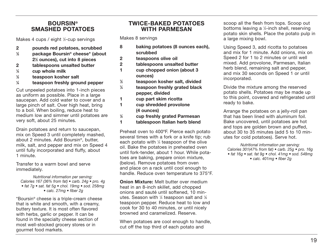#### **BOURSIN® SMASHED POTATOES**

Makes 4 cups / eight 1 ⁄2-cup servings

- **2 pounds red potatoes, scrubbed**
- **1 ⁄2 package Boursin® cheese\* (about 21 ⁄2 ounces), cut into 8 pieces**
- **2 tablespoons unsalted butter**
- **1 ⁄4 cup whole milk**
- **1 ⁄2 teaspoon kosher salt**
- **1 ⁄4 teaspoon freshly ground pepper**

Cut unpeeled potatoes into 1-inch pieces as uniform as possible. Place in a large saucepan. Add cold water to cover and a large pinch of salt. Over high heat, bring to a boil. When boiling, reduce heat to medium low and simmer until potatoes are very soft, about 25 minutes.

Drain potatoes and return to saucepan, mix on Speed 3 until completely mashed, about 2 minutes. Add Boursin®, butter, milk, salt, and pepper and mix on Speed 4 until fully incorporated and fluffy, about 1 minute.

Transfer to a warm bowl and serve immediately.

Nutritional information per serving: Calories 167 (36% from fat) • carb. 24g • pro. 4g • fat 7g • sat. fat 5g • chol. 19mg • sod. 258mg • calc. 27mg • fiber 2g

\*Boursin® cheese is a triple-cream cheese that is white and smooth, with a creamy, buttery texture. It is most often flavored with herbs, garlic or pepper. It can be found in the specialty cheese section of most well-stocked grocery stores or in gourmet food markets.

#### **TWICE-BAKED POTATOES WITH PARMESAN**

Makes 8 servings

- **8 baking potatoes (8 ounces each), scrubbed**
- **2 teaspoons olive oil**
- **2 tablespoons unsalted butter**
- **1 cup chopped onion (about 3 ounces)**
- **1 ⁄2 teaspoon kosher salt, divided**
- **1 ⁄4 teaspoon freshly grated black pepper, divided**
- **1 cup part skim ricotta**
- **1 cup shredded provolone (4 ounces)**
- **1 ⁄2 cup freshly grated Parmesan**
- **1 tablespoon Italian herb blend**

Preheat oven to 400ºF. Pierce each potato several times with a fork or a knife tip; rub each potato with 1 ⁄4 teaspoon of the olive oil. Bake the potatoes in preheated oven until fork-tender, about 1 hour. While potatoes are baking, prepare onion mixture, (below). Remove potatoes from oven and place on a rack until cool enough to handle. Reduce oven temperature to 375°F.

**Onion Mixture:** Melt butter over medium heat in an 8-inch skillet, add chopped onions and sauté until softened, 10 minutes. Season with ¼ teaspoon salt and ⅓ teaspoon pepper. Reduce heat to low and cook for 30 to 40 minutes, or until nicely browned and caramelized. Reserve.

When potatoes are cool enough to handle, cut off the top third of each potato and

scoop all the flesh from tops. Scoop out bottoms leaving a 1 ⁄4-inch shell, reserving potato skin shells. Place the potato pulp in a large mixing bowl.

Using Speed 3, add ricotta to potatoes and mix for 1 minute. Add onions, mix on Speed 2 for 1 to 2 minutes or until well mixed. Add provolone, Parmesan, Italian herb blend, remaining salt and pepper, and mix 30 seconds on Speed 1 or until incorporated.

Divide the mixture among the reserved potato shells. Potatoes may be made up to this point, covered and refrigerated until ready to bake.

Arrange the potatoes on a jelly-roll pan that has been lined with aluminum foil. Bake uncovered, until potatoes are hot and tops are golden brown and puffed, about 30 to 35 minutes (add 5 to 10 minutes for cold potatoes). Serve hot.

Nutritional information per serving: Calories 301(47% from fat)  $\bullet$  carb. 25q  $\bullet$  pro. 16q • fat 16g • sat. fat 9g • chol. 41mg • sod. 548mg • calc. 401mg • fiber 2g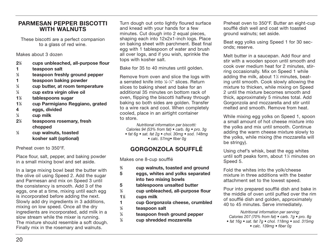#### **PARMESAN PEPPER BISCOTTI WITH WALNUTS**

These biscotti are a perfect companion to a glass of red wine.

Makes about 3 dozen

- **21 ⁄2 cups unbleached, all-purpose flour**
- **1 teaspoon salt**
- **1 ⁄2 teaspoon freshly ground pepper**
- **1 teaspoon baking powder**
- **1 ⁄4 cup butter, at room temperature**
- **1 ⁄4 cup extra virgin olive oil**
- **11 ⁄2 tablespoons sugar**
- **11 ⁄3 cup Parmigiano Reggiano, grated**
- **4 eggs, divided**
- **1 ⁄4 cup milk**
- **21 ⁄2 teaspoons rosemary, fresh chopped**
- **1 ⁄2 cup walnuts, toasted kosher salt (optional)**

Preheat oven to 350°F.

Place flour, salt, pepper, and baking powder in a small mixing bowl and set aside.

In a large mixing bowl beat the butter with the olive oil using Speed 2. Add the sugar and Parmesan and mix on Speed 3 until the consistency is smooth. Add 3 of the eggs, one at a time, mixing until each egg is incorporated before adding the next. Slowly add dry ingredients in 3 additions, mixing on low speed. Once all the dry ingredients are incorporated, add milk in a slow stream while the mixer is running. The mixture should resemble a soft dough. Finally mix in the rosemary and walnuts.

Turn dough out onto lightly floured surface and knead with your hands for a few minutes. Cut dough into 2 equal pieces, shaping each into 12x2x1-inch logs. Place on baking sheet with parchment. Beat final egg with 1 tablespoon of water and brush all over logs, and if you wish, sprinkle the tops with kosher salt.

Bake for 35 to 40 minutes until golden.

Remove from oven and slice the logs with a serrated knife into 1 ⁄8-1 ⁄4" slices. Return slices to baking sheet and bake for an additional 35 minutes on bottom rack of oven, flipping the biscotti halfway through baking so both sides are golden. Transfer to a wire rack and cool. When completely cooled, place in an airtight container to store.

Nutritional information per biscotti: Calories 94 (53% from fat) • carb. 8g • pro. 3g • fat 6g • sat. fat 2g • chol. 30mg • sod. 148mg

• calc. 57mg• fiber 0g

## **GORGONZOLA SOUFFLÉ**

Makes one 8-cup soufflé

- **2 ⁄3 cup walnuts, toasted and ground**
- **5 eggs, whites and yolks separated into two mixing bowls**
- **5 tablespoons unsalted butter**
- **1 ⁄2 cup unbleached, all-purpose flour**
- **11 ⁄2 cups milk**
- **1 cup Gorgonzola cheese, crumbled**
- **1 ⁄2 teaspoon salt**
- **1 ⁄4 teaspoon fresh ground pepper**
- **1 ⁄2 cup shredded mozzerella**

Preheat oven to 350°F. Butter an eight-cup soufflé dish well and coat with toasted ground walnuts; set aside.

Beat egg yolks using Speed 1 for 30 seconds; reserve.

Melt butter in a saucepan. Add flour and stir with a wooden spoon until smooth and cook over medium heat for 2 minutes, stirring occasionally. Mix on Speed 1 while adding the milk, about 11 ⁄2 minutes, beating until smooth. Cook slowly allowing the mixture to thicken, while mixing on Speed 2 until the mixture becomes smooth and thick, approximately 5 minutes total. Add Gorgonzola and mozzarella and stir until melted and smooth. Remove from heat.

While mixing egg yolks on Speed 1, spoon a small amount of hot cheese mixture into the yolks and mix until smooth. Continue adding the warm cheese mixture slowly to the yolks, while mixing (the mozzarella will be stringy).

Using chef's whisk, beat the egg whites until soft peaks form, about 11 ⁄2 minutes on Speed 5.

Fold the whites into the yolk/cheese mixture in three additions with the beater attachment set to the lowest speed.

Pour into prepared soufflé dish and bake in the middle of oven until puffed over the rim of soufflé dish and golden, approximately 40 to 45 minutes. Serve immediately.

Nutritional information per serving: Calories 207 (70% from fat) • carb. 7g • pro. 8g • fat 16g • sat. fat 7g • chol. 118mg • sod. 315mg • calc. 139mg • fiber 0g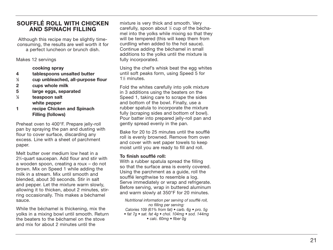#### **SOUFFLÉ ROLL WITH CHICKEN AND SPINACH FILLING**

Although this recipe may be slightly timeconsuming, the results are well worth it for a perfect luncheon or brunch dish.

Makes 12 servings

 **cooking spray**

- **4 tablespoons unsalted butter**
- **1⁄2 cup unbleached, all-purpose flour**
- **2 cups whole milk**
- **5 large eggs, separated**
- **1⁄2 teaspoon salt white pepper**
- **1 recipe Chicken and Spinach Filling (follows)**

Preheat oven to 400°F. Prepare jelly-roll pan by spraying the pan and dusting with flour to cover surface, discarding any excess. Line with a sheet of parchment paper.

Melt butter over medium low heat in a<br>2<sup>3</sup>/<sub>4</sub>-quart saucepan. Add flour and stir with a wooden spoon, creating a roux – do not brown. Mix on Speed 1 while adding the milk in a stream. Mix until smooth and blended, about 30 seconds. Stir in salt and pepper. Let the mixture warm slowly, allowing it to thicken, about 2 minutes, stirring occasionally. This makes a béchamel sauce.

While the béchamel is thickening, mix the yolks in a mixing bowl until smooth. Return the beaters to the béchamel on the stove and mix for about 2 minutes until the

mixture is very thick and smooth. Very carefully, spoon about 1⁄2 cup of the béchamel into the yolks while mixing so that they will be tempered (this will keep them from curdling when added to the hot sauce). Continue adding the béchamel in small additions to the yolks until the mixture is fully incorporated.

Using the chef's whisk beat the egg whites until soft peaks form, using Speed 5 for 1% minutes.

Fold the whites carefully into yolk mixture in 3 additions using the beaters on the Speed 1, taking care to scrape the sides and bottom of the bowl. Finally, use a rubber spatula to incorporate the mixture fully (scraping sides and bottom of bowl). Pour batter into prepared jelly-roll pan and gently spread evenly in the pan.

Bake for 20 to 25 minutes until the soufflé roll is evenly browned. Remove from oven and cover with wet paper towels to keep moist until you are ready to fill and roll.

#### **To finish soufflé roll:**

With a rubber spatula spread the filling so that the surface area is evenly covered. Using the parchment as a guide, roll the soufflé lengthwise to resemble a log. Serve immediately or wrap and refrigerate. Before serving, wrap in buttered aluminum and warm slowly at 350°F for 20 minutes.

Nutritional information per serving of soufflé roll, no filling per serving: Calories 109 (61% from fat) • carb. 6g • pro. 5g • fat 7g • sat. fat 4g • chol. 104mg • sod. 144mg • calc. 60mg • fiber 0g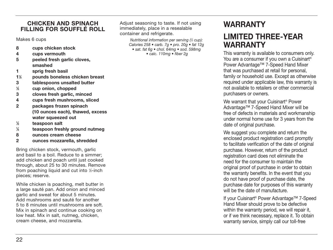#### **CHICKEN AND SPINACH FILLING FOR SOUFFLÉ ROLL**

Makes 6 cups

- **8 cups chicken stock**
- **4 cups vermouth**
- **5 peeled fresh garlic cloves, smashed**
- **1 sprig fresh basil**
- **11 ⁄2 pounds boneless chicken breast**
- **3 tablespoons unsalted butter**
- **1 ⁄3 cup onion, chopped**
- **3 cloves fresh garlic, minced**
- **4 cups fresh mushrooms, sliced**
- **2 packages frozen spinach (10 ounces each), thawed, excess water squeezed out**
- **1 ⁄2 teaspoon salt**
- **1 ⁄4 teaspoon freshly ground nutmeg**
- **8 ounces cream cheese**
- **2 ounces mozzarella, shredded**

Bring chicken stock, vermouth, garlic and basil to a boil. Reduce to a simmer; add chicken and poach until just cooked through, about 25 to 30 minutes. Remove from poaching liquid and cut into 1 ⁄2-inch pieces; reserve.

While chicken is poaching, melt butter in a large sauté pan. Add onion and minced garlic and sweat for about 5 minutes. Add mushrooms and sauté for another 5 to 8 minutes until mushrooms are soft. Mix in spinach and continue cooking on low heat. Mix in salt, nutmeg, chicken, cream cheese, and mozzarella.

Adjust seasoning to taste. If not using immediately, place in a resealable container and refrigerate.

> Nutritional information per serving (½ cup): Calories 258 • carb. 7g • pro. 20g • fat 12g • sat. fat 6g • chol. 64mg • sod. 598mg

• calc. 110mg • fiber 2g

# **WARRANTY LIMITED THREE-YEAR WARRANTY**

This warranty is available to consumers only. You are a consumer if you own a Cuisinart<sup>®</sup> Power Advantage™ 7-Speed Hand Mixer that was purchased at retail for personal, family or household use. Except as otherwise required under applicable law, this warranty is not available to retailers or other commercial purchasers or owners.

We warrant that your Cuisinart<sup>®</sup> Power Advantage™ 7-Speed Hand Mixer will be free of defects in materials and workmanship under normal home use for 3 years from the date of original purchase.

We suggest you complete and return the enclosed product registration card promptly to facilitate verification of the date of original purchase. However, return of the product registration card does not eliminate the need for the consumer to maintain the original proof of purchase in order to obtain the warranty benefits. In the event that you do not have proof of purchase date, the purchase date for purposes of this warranty will be the date of manufacture.

If your Cuisinart® Power Advantage™ 7-Speed Hand Mixer should prove to be defective within the warranty period, we will repair it, or if we think necessary, replace it. To obtain warranty service, simply call our toll-free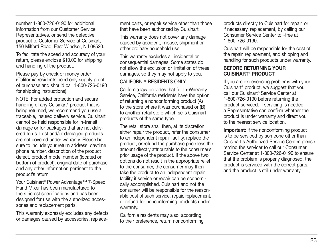number 1-800-726-0190 for additional information from our Customer Service Representatives, or send the defective product to Customer Service at Cuisinart, 150 Milford Road, East Windsor, NJ 08520.

To facilitate the speed and accuracy of your return, please enclose \$10.00 for shipping and handling of the product.

Please pay by check or money order (California residents need only supply proof of purchase and should call 1-800-726-0190 for shipping instructions).

NOTE: For added protection and secure handling of any Cuisinart® product that is being returned, we recommend you use a traceable, insured delivery service. Cuisinart cannot be held responsible for in-transit damage or for packages that are not delivered to us. Lost and/or damaged products are not covered under warranty. Please be sure to include your return address, daytime phone number, description of the product defect, product model number (located on bottom of product), original date of purchase, and any other information pertinent to the product's return.

Your Cuisinart® Power Advantage™ 7-Speed Hand Mixer has been manufactured to the strictest specifications and has been designed for use with the authorized accessories and replacement parts.

This warranty expressly excludes any defects or damages caused by accessories, replacement parts, or repair service other than those that have been authorized by Cuisinart.

This warranty does not cover any damage caused by accident, misuse, shipment or other ordinary household use.

This warranty excludes all incidental or consequential damages. Some states do not allow the exclusion or limitation of these damages, so they may not apply to you.

#### CALIFORNIA RESIDENTS ONLY:

California law provides that for In-Warranty Service, California residents have the option of returning a nonconforming product (A) to the store where it was purchased or (B) to another retail store which sells Cuisinart products of the same type.

The retail store shall then, at its discretion, either repair the product, refer the consumer to an independent repair facility, replace the product, or refund the purchase price less the amount directly attributable to the consumer's prior usage of the product. If the above two options do not result in the appropriate relief to the consumer, the consumer may then take the product to an independent repair facility if service or repair can be economically accomplished. Cuisinart and not the consumer will be responsible for the reasonable cost of such service, repair, replacement, or refund for nonconforming products under warranty.

California residents may also, according to their preference, return nonconforming products directly to Cuisinart for repair, or if necessary, replacement, by calling our Consumer Service Center toll-free at 1-800-726-0190.

Cuisinart will be responsible for the cost of the repair, replacement, and shipping and handling for such products under warranty.

#### **BEFORE RETURNING YOUR CUISINART® PRODUCT**

If you are experiencing problems with your Cuisinart® product, we suggest that you call our Cuisinart® Service Center at 1-800-726-0190 before returning the product serviced. If servicing is needed, a Representative can confirm whether the product is under warranty and direct you to the nearest service location.

**Important:** If the nonconforming product is to be serviced by someone other than Cuisinart's Authorized Service Center, please remind the servicer to call our Consumer Service Center at 1-800-726-0190 to ensure that the problem is properly diagnosed, the product is serviced with the correct parts, and the product is still under warranty.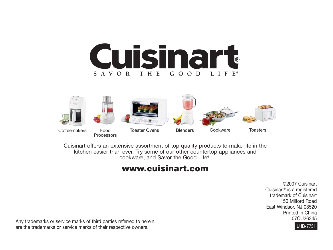



Cuisinart offers an extensive assortment of top quality products to make life in the kitchen easier than ever. Try some of our other countertop appliances and cookware, and Savor the Good Life®.

## **www.cuisinart.com**

©2007 Cuisinart Cuisinart® is a registered trademark of Cuisinart 150 Milford Road East Windsor, NJ 08520 Printed in China



Any trademarks or service marks of third parties referred to herein<br>
are the trademarks or service marks of their respective owners<br>
U IB-7731 are the trademarks or service marks of their respective owners.